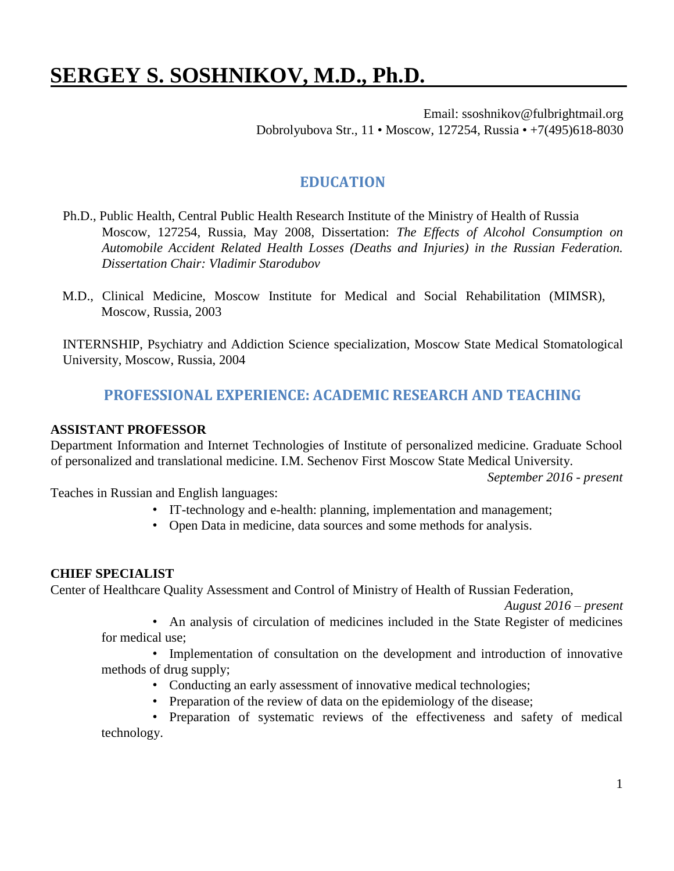# **SERGEY S. SOSHNIKOV, M.D., Ph.D.**

Email: ssoshnikov@fulbrightmail.org Dobrolyubova Str., 11 • Moscow, 127254, Russia • +7(495)618-8030

# **EDUCATION**

- Ph.D., Public Health, Central Public Health Research Institute of the Ministry of Health of Russia Moscow, 127254, Russia, May 2008, Dissertation: *The Effects of Alcohol Consumption on Automobile Accident Related Health Losses (Deaths and Injuries) in the Russian Federation. Dissertation Chair: Vladimir Starodubov*
- M.D., Clinical Medicine, Moscow Institute for Medical and Social Rehabilitation (MIMSR), Moscow, Russia, 2003

INTERNSHIP, Psychiatry and Addiction Science specialization, Moscow State Medical Stomatological University, Moscow, Russia, 2004

# **PROFESSIONAL EXPERIENCE: ACADEMIC RESEARCH AND TEACHING**

#### **ASSISTANT PROFESSOR**

Department Information and Internet Technologies of Institute of personalized medicine. Graduate School of personalized and translational medicine. I.M. Sechenov First Moscow State Medical University.

*September 2016 - present*

Teaches in Russian and English languages:

- IT-technology and e-health: planning, implementation and management;
- Open Data in medicine, data sources and some methods for analysis.

#### **CHIEF SPECIALIST**

Center of Healthcare Quality Assessment and Control of Ministry of Health of Russian Federation,

*August 2016 – present*

• An analysis of circulation of medicines included in the State Register of medicines for medical use;

• Implementation of consultation on the development and introduction of innovative methods of drug supply;

- Conducting an early assessment of innovative medical technologies;
- Preparation of the review of data on the epidemiology of the disease;

• Preparation of systematic reviews of the effectiveness and safety of medical technology.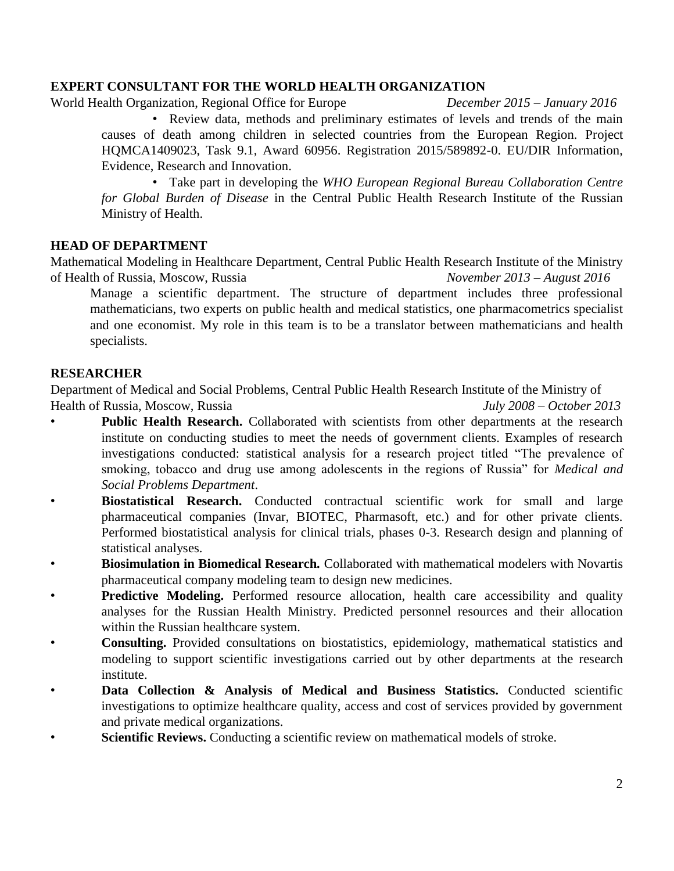#### **EXPERT CONSULTANT FOR THE WORLD HEALTH ORGANIZATION**

World Health Organization, Regional Office for Europe *December 2015 – January 2016*

• Review data, methods and preliminary estimates of levels and trends of the main causes of death among children in selected countries from the European Region. Project HQMCA1409023, Task 9.1, Award 60956. Registration 2015/589892-0. EU/DIR Information, Evidence, Research and Innovation.

• Take part in developing the *WHO European Regional Bureau Collaboration Centre for Global Burden of Disease* in the Central Public Health Research Institute of the Russian Ministry of Health.

#### **HEAD OF DEPARTMENT**

Mathematical Modeling in Healthcare Department, Central Public Health Research Institute of the Ministry of Health of Russia, Moscow, Russia *November 2013 – August 2016*

Manage a scientific department. The structure of department includes three professional mathematicians, two experts on public health and medical statistics, one pharmacometrics specialist and one economist. My role in this team is to be a translator between mathematicians and health specialists.

#### **RESEARCHER**

Department of Medical and Social Problems, Central Public Health Research Institute of the Ministry of Health of Russia, Moscow, Russia *July 2008 – October 2013*

- **Public Health Research.** Collaborated with scientists from other departments at the research institute on conducting studies to meet the needs of government clients. Examples of research investigations conducted: statistical analysis for a research project titled "The prevalence of smoking, tobacco and drug use among adolescents in the regions of Russia" for *Medical and Social Problems Department*.
- **Biostatistical Research.** Conducted contractual scientific work for small and large pharmaceutical companies (Invar, BIOTEC, Pharmasoft, etc.) and for other private clients. Performed biostatistical analysis for clinical trials, phases 0-3. Research design and planning of statistical analyses.
- **Biosimulation in Biomedical Research***.* Collaborated with mathematical modelers with Novartis pharmaceutical company modeling team to design new medicines.
- **Predictive Modeling.** Performed resource allocation, health care accessibility and quality analyses for the Russian Health Ministry. Predicted personnel resources and their allocation within the Russian healthcare system.
- **Consulting.** Provided consultations on biostatistics, epidemiology, mathematical statistics and modeling to support scientific investigations carried out by other departments at the research institute.
- **Data Collection & Analysis of Medical and Business Statistics.** Conducted scientific investigations to optimize healthcare quality, access and cost of services provided by government and private medical organizations.
- **Scientific Reviews.** Conducting a scientific review on mathematical models of stroke.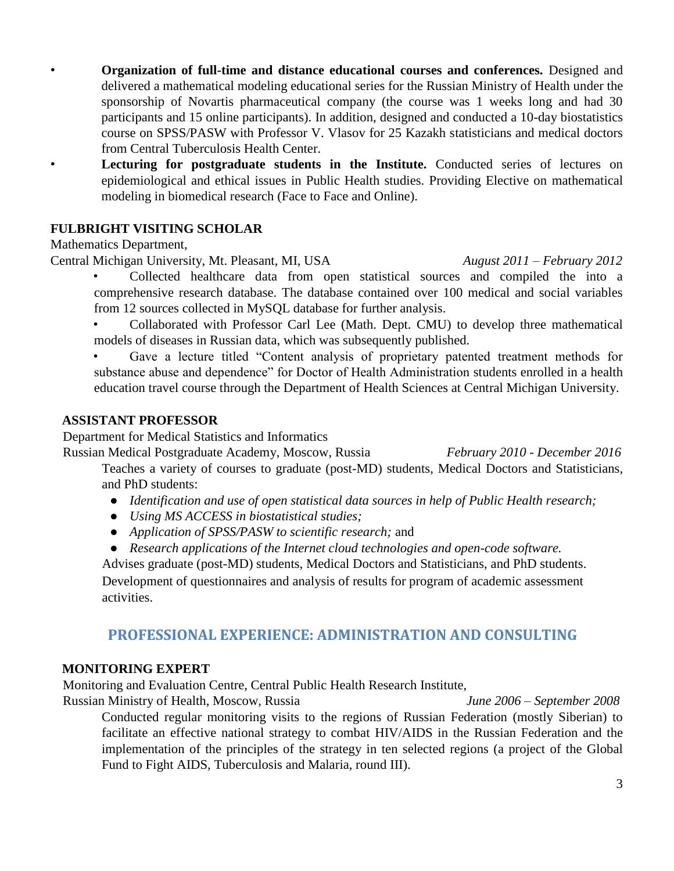• **Organization of full-time and distance educational courses and conferences.** Designed and delivered a mathematical modeling educational series for the Russian Ministry of Health under the sponsorship of Novartis pharmaceutical company (the course was 1 weeks long and had 30 participants and 15 online participants). In addition, designed and conducted a 10-day biostatistics course on SPSS/PASW with Professor V. Vlasov for 25 Kazakh statisticians and medical doctors from Central Tuberculosis Health Center.

**Lecturing for postgraduate students in the Institute.** Conducted series of lectures on epidemiological and ethical issues in Public Health studies. Providing Elective on mathematical modeling in biomedical research (Face to Face and Online).

## **FULBRIGHT VISITING SCHOLAR**

Mathematics Department,

Central Michigan University, Mt. Pleasant, MI, USA *August 2011 – February 2012*

- Collected healthcare data from open statistical sources and compiled the into a comprehensive research database. The database contained over 100 medical and social variables from 12 sources collected in MySQL database for further analysis.
- Collaborated with Professor Carl Lee (Math. Dept. CMU) to develop three mathematical models of diseases in Russian data, which was subsequently published.
- Gave a lecture titled "Content analysis of proprietary patented treatment methods for substance abuse and dependence" for Doctor of Health Administration students enrolled in a health education travel course through the Department of Health Sciences at Central Michigan University.

#### **ASSISTANT PROFESSOR**

Department for Medical Statistics and Informatics

Russian Medical Postgraduate Academy, Moscow, Russia *February 2010 - December 2016* Teaches a variety of courses to graduate (post-MD) students, Medical Doctors and Statisticians, and PhD students:

- *Identification and use of open statistical data sources in help of Public Health research;*
- *Using MS ACCESS in biostatistical studies;*
- *Application of SPSS/PASW to scientific research;* and
- *Research applications of the Internet cloud technologies and open-code software.*

Advises graduate (post-MD) students, Medical Doctors and Statisticians, and PhD students. Development of questionnaires and analysis of results for program of academic assessment activities.

# **PROFESSIONAL EXPERIENCE: ADMINISTRATION AND CONSULTING**

## **MONITORING EXPERT**

Monitoring and Evaluation Centre, Central Public Health Research Institute,

Russian Ministry of Health, Moscow, Russia *June 2006 – September 2008*

Conducted regular monitoring visits to the regions of Russian Federation (mostly Siberian) to facilitate an effective national strategy to combat HIV/AIDS in the Russian Federation and the implementation of the principles of the strategy in ten selected regions (a project of the Global Fund to Fight AIDS, Tuberculosis and Malaria, round III).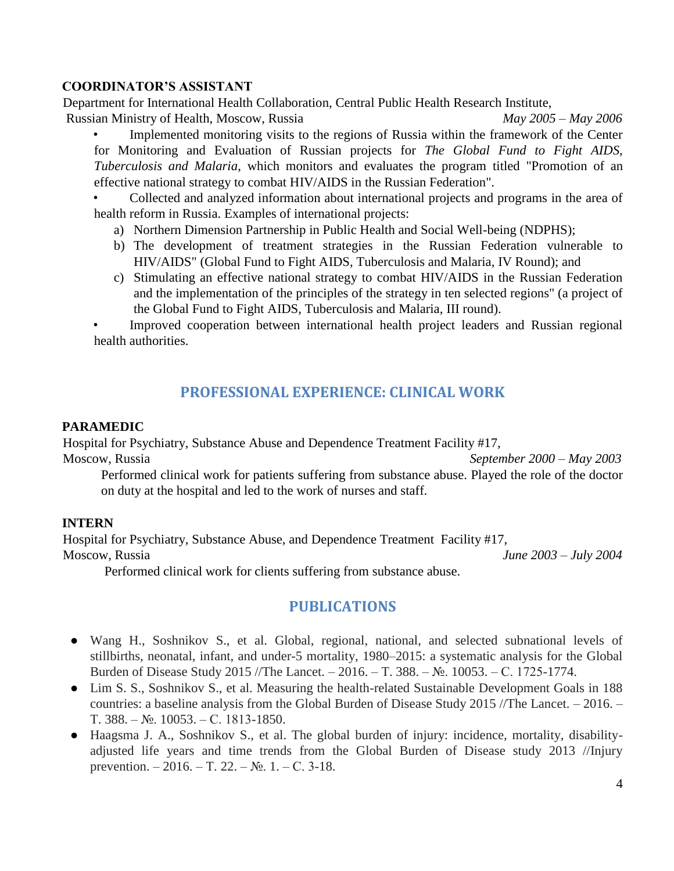#### **COORDINATOR'S ASSISTANT**

Department for International Health Collaboration, Central Public Health Research Institute, Russian Ministry of Health, Moscow, Russia *May 2005 – May 2006*

• Implemented monitoring visits to the regions of Russia within the framework of the Center for Monitoring and Evaluation of Russian projects for *The Global Fund to Fight AIDS, Tuberculosis and Malaria*, which monitors and evaluates the program titled "Promotion of an effective national strategy to combat HIV/AIDS in the Russian Federation".

• Collected and analyzed information about international projects and programs in the area of health reform in Russia. Examples of international projects:

- a) Northern Dimension Partnership in Public Health and Social Well-being (NDPHS);
- b) The development of treatment strategies in the Russian Federation vulnerable to HIV/AIDS" (Global Fund to Fight AIDS, Tuberculosis and Malaria, IV Round); and
- c) Stimulating an effective national strategy to combat HIV/AIDS in the Russian Federation and the implementation of the principles of the strategy in ten selected regions" (a project of the Global Fund to Fight AIDS, Tuberculosis and Malaria, III round).

Improved cooperation between international health project leaders and Russian regional health authorities.

## **PROFESSIONAL EXPERIENCE: CLINICAL WORK**

#### **PARAMEDIC**

Hospital for Psychiatry, Substance Abuse and Dependence Treatment Facility #17,

Moscow, Russia *September 2000 – May 2003*

Performed clinical work for patients suffering from substance abuse. Played the role of the doctor on duty at the hospital and led to the work of nurses and staff.

#### **INTERN**

Hospital for Psychiatry, Substance Abuse, and Dependence Treatment Facility #17, Moscow, Russia *June 2003 – July 2004*

Performed clinical work for clients suffering from substance abuse.

## **PUBLICATIONS**

- Wang H., Soshnikov S., et al. Global, regional, national, and selected subnational levels of stillbirths, neonatal, infant, and under-5 mortality, 1980–2015: a systematic analysis for the Global Burden of Disease Study 2015 //The Lancet. – 2016. – Т. 388. – №. 10053. – С. 1725-1774.
- Lim S. S., Soshnikov S., et al. Measuring the health-related Sustainable Development Goals in 188 countries: a baseline analysis from the Global Burden of Disease Study 2015 //The Lancet. – 2016. – Т. 388. – №. 10053. – С. 1813-1850.
- Haagsma J. A., Soshnikov S., et al. The global burden of injury: incidence, mortality, disabilityadjusted life years and time trends from the Global Burden of Disease study 2013 //Injury prevention. – 2016. – Т. 22. –  $N_2$ . 1. – С. 3-18.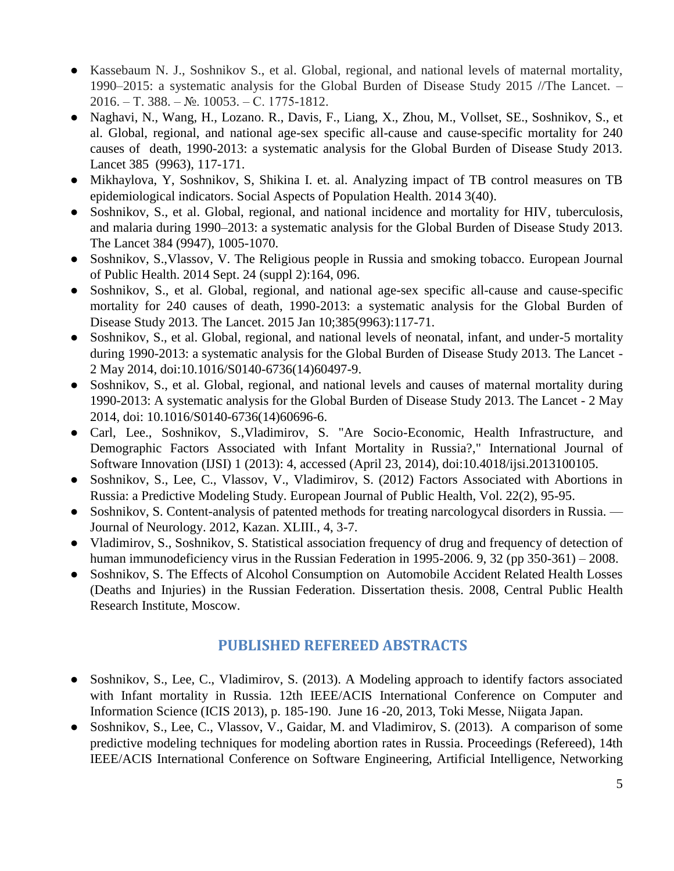- Kassebaum N. J., Soshnikov S., et al. Global, regional, and national levels of maternal mortality, 1990–2015: a systematic analysis for the Global Burden of Disease Study 2015 //The Lancet. – 2016. – Т. 388. – №. 10053. – С. 1775-1812.
- Naghavi, N., Wang, H., Lozano. R., Davis, F., Liang, X., Zhou, M., Vollset, SE., Soshnikov, S., et al. Global, regional, and national age-sex specific all-cause and cause-specific mortality for 240 causes of death, 1990-2013: a systematic analysis for the Global Burden of Disease Study 2013. Lancet 385 (9963), 117-171.
- Mikhaylova, Y, Soshnikov, S, Shikina I. et. al. Analyzing impact of TB control measures on TB epidemiological indicators. Social Aspects of Population Health. 2014 3(40).
- Soshnikov, S., et al. Global, regional, and national incidence and mortality for HIV, tuberculosis, and malaria during 1990–2013: a systematic analysis for the Global Burden of Disease Study 2013. The Lancet 384 (9947), 1005-1070.
- Soshnikov, S., Vlassov, V. The Religious people in Russia and smoking tobacco. European Journal of Public Health. 2014 Sept. 24 (suppl 2):164, 096.
- Soshnikov, S., et al. Global, regional, and national age-sex specific all-cause and cause-specific mortality for 240 causes of death, 1990-2013: a systematic analysis for the Global Burden of Disease Study 2013. The Lancet. 2015 Jan 10;385(9963):117-71.
- Soshnikov, S., et al. Global, regional, and national levels of neonatal, infant, and under-5 mortality during 1990-2013: a systematic analysis for the Global Burden of Disease Study 2013. The Lancet - 2 May 2014, doi:10.1016/S0140-6736(14)60497-9.
- Soshnikov, S., et al. Global, regional, and national levels and causes of maternal mortality during 1990-2013: A systematic analysis for the Global Burden of Disease Study 2013. The Lancet - 2 May 2014, doi: 10.1016/S0140-6736(14)60696-6.
- Carl, Lee., Soshnikov, S.,Vladimirov, S. "Are Socio-Economic, Health Infrastructure, and Demographic Factors Associated with Infant Mortality in Russia?," International Journal of Software Innovation (IJSI) 1 (2013): 4, accessed (April 23, 2014), doi:10.4018/ijsi.2013100105.
- Soshnikov, S., Lee, C., Vlassov, V., Vladimirov, S. (2012) Factors Associated with Abortions in Russia: a Predictive Modeling Study. European Journal of Public Health, Vol. 22(2), 95-95.
- Soshnikov, S. Content-analysis of patented methods for treating narcologycal disorders in Russia. Journal of Neurology. 2012, Kazan. XLIII., 4, 3-7.
- Vladimirov, S., Soshnikov, S. Statistical association frequency of drug and frequency of detection of human immunodeficiency virus in the Russian Federation in 1995-2006. 9, 32 (pp 350-361) – 2008.
- Soshnikov, S. The Effects of Alcohol Consumption on Automobile Accident Related Health Losses (Deaths and Injuries) in the Russian Federation. Dissertation thesis. 2008, Central Public Health Research Institute, Moscow.

# **PUBLISHED REFEREED ABSTRACTS**

- Soshnikov, S., Lee, C., Vladimirov, S. (2013). A Modeling approach to identify factors associated with Infant mortality in Russia. 12th IEEE/ACIS International Conference on Computer and Information Science (ICIS 2013), p. 185-190. June 16 -20, 2013, Toki Messe, Niigata Japan.
- Soshnikov, S., Lee, C., Vlassov, V., Gaidar, M. and Vladimirov, S. (2013). A comparison of some predictive modeling techniques for modeling abortion rates in Russia. Proceedings (Refereed), 14th IEEE/ACIS International Conference on Software Engineering, Artificial Intelligence, Networking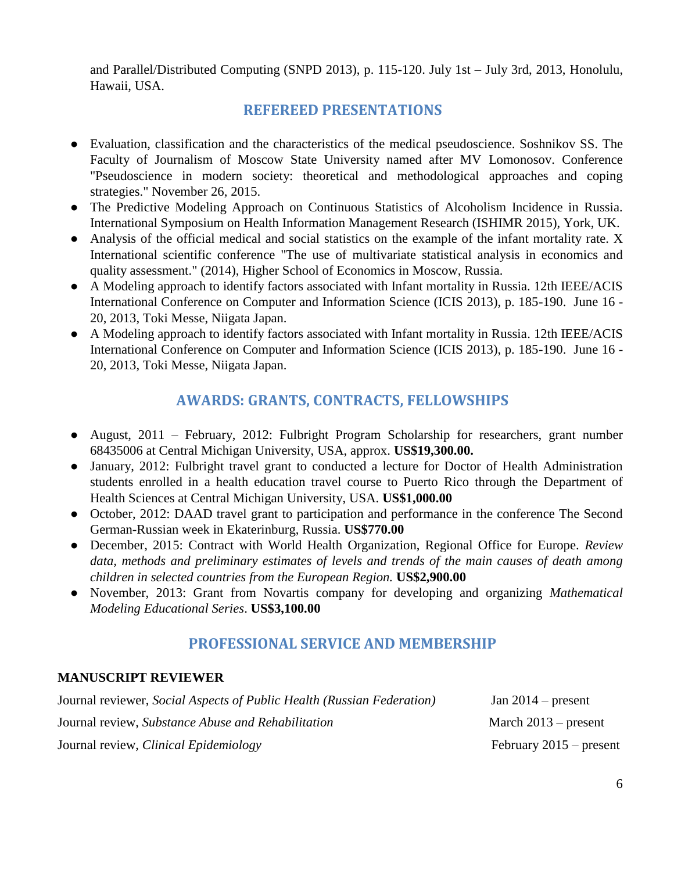and Parallel/Distributed Computing (SNPD 2013), p. 115-120. July 1st – July 3rd, 2013, Honolulu, Hawaii, USA.

# **REFEREED PRESENTATIONS**

- Evaluation, classification and the characteristics of the medical pseudoscience. Soshnikov SS. The Faculty of Journalism of Moscow State University named after MV Lomonosov. Conference "Pseudoscience in modern society: theoretical and methodological approaches and coping strategies." November 26, 2015.
- The Predictive Modeling Approach on Continuous Statistics of Alcoholism Incidence in Russia. International Symposium on Health Information Management Research (ISHIMR 2015), York, UK.
- Analysis of the official medical and social statistics on the example of the infant mortality rate. X International scientific conference "The use of multivariate statistical analysis in economics and quality assessment." (2014), Higher School of Economics in Moscow, Russia.
- A Modeling approach to identify factors associated with Infant mortality in Russia. 12th IEEE/ACIS International Conference on Computer and Information Science (ICIS 2013), p. 185-190. June 16 - 20, 2013, Toki Messe, Niigata Japan.
- A Modeling approach to identify factors associated with Infant mortality in Russia. 12th IEEE/ACIS International Conference on Computer and Information Science (ICIS 2013), p. 185-190. June 16 - 20, 2013, Toki Messe, Niigata Japan.

# **AWARDS: GRANTS, CONTRACTS, FELLOWSHIPS**

- August, 2011 *–* February, 2012: Fulbright Program Scholarship for researchers, grant number 68435006 at Central Michigan University, USA, approx. **US\$19,300.00.**
- January, 2012: Fulbright travel grant to conducted a lecture for Doctor of Health Administration students enrolled in a health education travel course to Puerto Rico through the Department of Health Sciences at Central Michigan University, USA. **US\$1,000.00**
- October, 2012: DAAD travel grant to participation and performance in the conference The Second German-Russian week in Ekaterinburg, Russia. **US\$770.00**
- December, 2015: Contract with World Health Organization, Regional Office for Europe. *Review*  data, methods and preliminary estimates of levels and trends of the main causes of death among *children in selected countries from the European Region.* **US\$2,900.00**
- November, 2013: Grant from Novartis company for developing and organizing *Mathematical Modeling Educational Series*. **US\$3,100.00**

# **PROFESSIONAL SERVICE AND MEMBERSHIP**

#### **MANUSCRIPT REVIEWER**

| Journal reviewer, Social Aspects of Public Health (Russian Federation) | Jan $2014$ – present      |
|------------------------------------------------------------------------|---------------------------|
| Journal review, Substance Abuse and Rehabilitation                     | March $2013$ – present    |
| Journal review, Clinical Epidemiology                                  | February $2015$ – present |